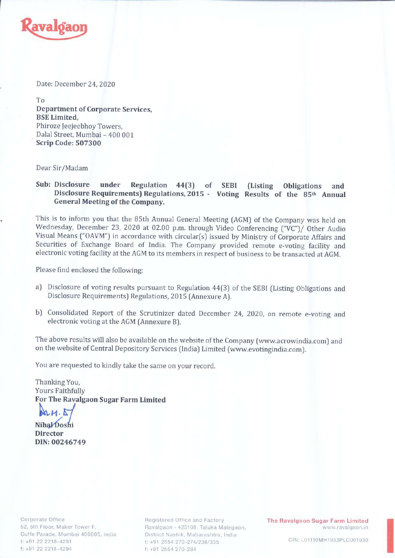

Date: December 24, 2020

To Department of Corporate Services, BSE Limited, Phiroze Jeejeebhoy Towers, Dalal Street, Mumbai - 400 001 Scrip Code: 507300

Dear Sir/Madam

Sub: Disclosure under Regulation 44(3) of SEBI (Listing Obligations and Disclosure Requirements) Regulations, <sup>2015</sup> - Voting Results of the 85th Annual General Meeting of the Company.

This is to inform you that the 85th Annual General Meeting (AGM) of the Company was held on Wednesday, December 23, <sup>2020</sup> at 02.00 p.m. through Video Conferencing ("VC")/ Other Audio Visual Means ("OAVM") in accordance with circular(s) issued by Ministry of Corporate Affairs and Securities of Exchange Board of India. The Company provided remote e-voting facility and electronic voting facility at the AGM to its members in respect of business to be transacted at AGM.

Please find enclosed the following:

- a) Disclosure of voting results pursuant to Regulation 44(3) of the SEBI (Listing Obligations and Disclosure Requirements) Regulations, <sup>2015</sup> (Annexure A).
- b) Consolidated Report of the Scrutinizer dated December 24, 2020, on remote e-voting and electronic voting at the AGM (Annexure B).

The above results will also be available on the website of the Company (www.acrowindia.com) and on the website of Central Depository Services (India) Limited (www.evotingindia.com).

You are requested to kindly take the same on your record.

Thanking You, Yours Faithfully For The Ravalgaon Sugar Farm Limit

 $AnH. 1$ 

Nihal Doshi Director DIN: 00246749

Corporate Office 52, 5th Floor, Maker Tower F, Cuffe Parade, Mumbai 400005, tndia I: +91 22 2218-4291 t: +91 22 2218-4294

Registered Office and Factory Ravalgaon - 423108, Taluka Malegaon, District Nashik, Maharashtra, India I: +91 2554 270-274/238/335 Registered Office and Factory<br>
Ithe Ravalgaon Sugar Farm Limited<br>
District Nashik, Maharashtra, India<br>
t: +91 2554 270-274/238/335 CIN: L01110MH1933PLC001930<br>
t: +91 2554 270-284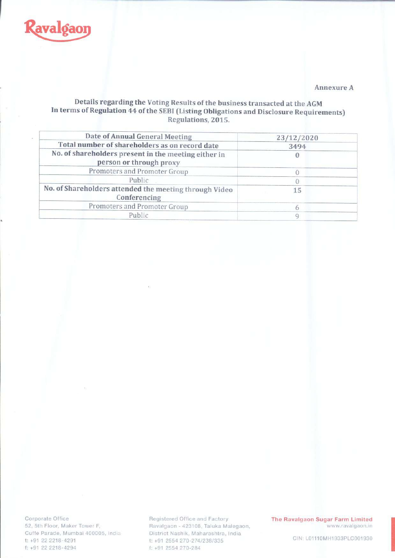

#### Annexure A

## Details regarding the Voting Results of the business transacted at the AGM In terms of Regulation 44 of the SEBI (Listing Obligations and Disclosure Requiremen Regulations, 2015.

| Date of Annual General Meeting                                                  | 23/12/2020 |
|---------------------------------------------------------------------------------|------------|
| Total number of shareholders as on record date                                  | 3494       |
| No. of shareholders present in the meeting either in<br>person or through proxy |            |
| Promoters and Promoter Group                                                    |            |
| Public                                                                          |            |
| No. of Shareholders attended the meeting through Video<br>Conferencing          | 15         |
| Promoters and Promoter Group                                                    |            |
| Public                                                                          |            |

Corporate Office 52, 5th Floor, Maker Tower F-, Cuffe Parade, Mumbai 400005, In t: +91 22 2218 4291 f• +91 <sup>22</sup> 2218-429? Reg15tcrcd Office ond Factory

Ravalgaon - 423108, Taluka Malegao District Nashik, Maharashtra, India t: +91 2554 270-274/238/335 Registered Office and Factory **Fine Ravalgaon Sugar Farm Limit**<br>Favalgaon - 423108, Taluka Malegaon, www.ravalgaon<br>District Nashik, Maharashtra, India (1997)<br>t: +91 2554 270-284 The Ravalgaon CIN: L01110MH1933PLC0019<br>t: +9

www.ravalgaon.in The Ravalgaon Sugar Farm Limited<br>www.ravalgaon.in<br>CIN: L01110MH1933PLC001930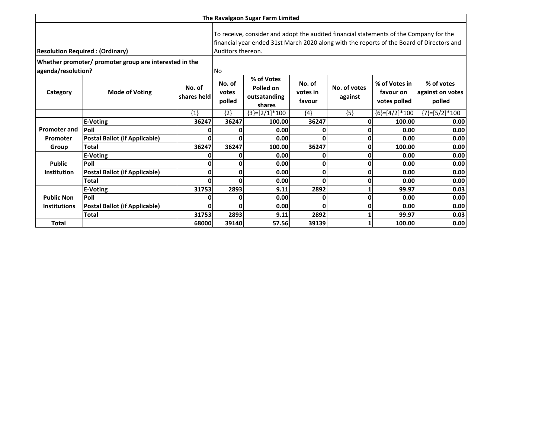|                                         | The Ravalgaon Sugar Farm Limited                       |                       |                           |                                                                                                             |                              |                         |                                            |                                                                                           |
|-----------------------------------------|--------------------------------------------------------|-----------------------|---------------------------|-------------------------------------------------------------------------------------------------------------|------------------------------|-------------------------|--------------------------------------------|-------------------------------------------------------------------------------------------|
| <b>Resolution Required : (Ordinary)</b> |                                                        |                       |                           | To receive, consider and adopt the audited financial statements of the Company for the<br>Auditors thereon. |                              |                         |                                            | financial year ended 31st March 2020 along with the reports of the Board of Directors and |
| agenda/resolution?                      | Whether promoter/ promoter group are interested in the |                       | <b>No</b>                 |                                                                                                             |                              |                         |                                            |                                                                                           |
| Category                                | <b>Mode of Voting</b>                                  | No. of<br>shares held | No. of<br>votes<br>polled | % of Votes<br>Polled on<br>outsatanding<br>shares                                                           | No. of<br>votes in<br>favour | No. of votes<br>against | % of Votes in<br>favour on<br>votes polled | % of votes<br>against on votes<br>polled                                                  |
|                                         |                                                        | ${1}$                 | ${2}$                     | ${3}=[2/1]*100$                                                                                             | ${4}$                        | ${5}$                   | ${6}$ =[4/2]*100                           | ${7}=[5/2]*100$                                                                           |
|                                         | <b>E-Voting</b>                                        | 36247                 | 36247                     | 100.00                                                                                                      | 36247                        | $\mathbf 0$             | 100.00                                     | 0.00                                                                                      |
| <b>Promoter and</b>                     | Poll                                                   |                       | 0                         | 0.00                                                                                                        | 0                            | 0                       | 0.00                                       | 0.00                                                                                      |
| Promoter                                | <b>Postal Ballot (if Applicable)</b>                   |                       | 0                         | 0.00                                                                                                        | 0                            | 0                       | 0.00                                       | 0.00                                                                                      |
| Group                                   | <b>Total</b>                                           | 36247                 | 36247                     | 100.00                                                                                                      | 36247                        | 0                       | 100.00                                     | 0.00                                                                                      |
|                                         | E-Voting                                               | ŋ                     | 0                         | 0.00                                                                                                        | 0                            | $\mathbf 0$             | 0.00                                       | 0.00                                                                                      |
| <b>Public</b>                           | Poll                                                   | 0                     | 0                         | 0.00                                                                                                        | 0                            | 0                       | 0.00                                       | 0.00                                                                                      |
| <b>Institution</b>                      | <b>Postal Ballot (if Applicable)</b>                   | 0                     | 0                         | 0.00                                                                                                        | 0                            | 0                       | 0.00                                       | 0.00                                                                                      |
|                                         | Total                                                  | ŋ                     | O                         | 0.00                                                                                                        | O                            | 0                       | 0.00                                       | 0.00                                                                                      |
|                                         | <b>E-Voting</b>                                        | 31753                 | 2893                      | 9.11                                                                                                        | 2892                         |                         | 99.97                                      | 0.03                                                                                      |
| <b>Public Non</b>                       | Poll                                                   |                       | 0                         | 0.00                                                                                                        | 0                            | 0                       | 0.00                                       | 0.00                                                                                      |
| <b>Institutions</b>                     | Postal Ballot (if Applicable)                          | O                     | 0                         | 0.00                                                                                                        | O                            | 0                       | 0.00                                       | 0.00                                                                                      |
|                                         | <b>Total</b>                                           | 31753                 | 2893                      | 9.11                                                                                                        | 2892                         | 1                       | 99.97                                      | 0.03                                                                                      |
| <b>Total</b>                            |                                                        | 68000                 | 39140                     | 57.56                                                                                                       | 39139                        | 1                       | 100.00                                     | 0.00                                                                                      |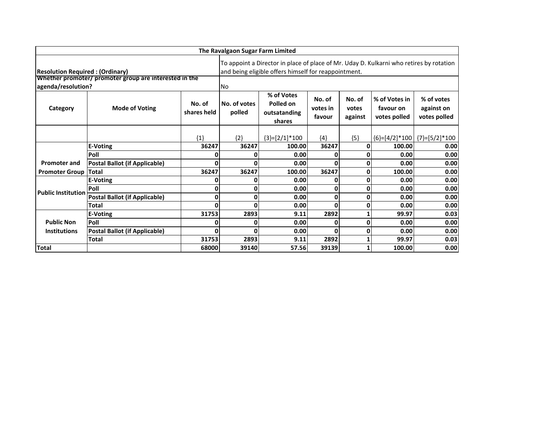|                                        | The Ravalgaon Sugar Farm Limited                       |                       |                                                                                                                                                 |                                                   |                              |                            |                                            |                                          |
|----------------------------------------|--------------------------------------------------------|-----------------------|-------------------------------------------------------------------------------------------------------------------------------------------------|---------------------------------------------------|------------------------------|----------------------------|--------------------------------------------|------------------------------------------|
| <b>Resolution Required: (Ordinary)</b> |                                                        |                       | To appoint a Director in place of place of Mr. Uday D. Kulkarni who retires by rotation<br>and being eligible offers himself for reappointment. |                                                   |                              |                            |                                            |                                          |
|                                        | Whether promoter/ promoter group are interested in the |                       |                                                                                                                                                 |                                                   |                              |                            |                                            |                                          |
| agenda/resolution?                     |                                                        |                       | <b>No</b>                                                                                                                                       |                                                   |                              |                            |                                            |                                          |
| Category                               | <b>Mode of Voting</b>                                  | No. of<br>shares held | No. of votes<br>polled                                                                                                                          | % of Votes<br>Polled on<br>outsatanding<br>shares | No. of<br>votes in<br>favour | No. of<br>votes<br>against | % of Votes in<br>favour on<br>votes polled | % of votes<br>against on<br>votes polled |
|                                        |                                                        | ${1}$                 | ${2}$                                                                                                                                           | ${3}=[2/1]*100$                                   | ${4}$                        | ${5}$                      |                                            | ${6}$ =[4/2]*100 {7}=[5/2]*100           |
|                                        | <b>E-Voting</b>                                        | 36247                 | 36247                                                                                                                                           | 100.00                                            | 36247                        | 0                          | 100.00                                     | 0.00                                     |
|                                        | Poll                                                   |                       |                                                                                                                                                 | 0.00                                              | 0                            | 0                          | 0.00                                       | 0.00                                     |
| <b>Promoter and</b>                    | <b>Postal Ballot (if Applicable)</b>                   | 0                     | n                                                                                                                                               | 0.00                                              | 0                            | 0                          | 0.00                                       | 0.00                                     |
| <b>Promoter Group</b>                  | <b>Total</b>                                           | 36247                 | 36247                                                                                                                                           | 100.00                                            | 36247                        | 0                          | 100.00                                     | 0.00                                     |
|                                        | E-Voting                                               | 0                     |                                                                                                                                                 | 0.00                                              | 0                            | 0                          | 0.00                                       | 0.00                                     |
| <b>Public Institution</b>              | Poll                                                   | 0                     | ŋ                                                                                                                                               | 0.00                                              | 0                            | 0                          | 0.00                                       | 0.00                                     |
|                                        | <b>Postal Ballot (if Applicable)</b>                   | 0                     | 0                                                                                                                                               | 0.00                                              | 0                            | 0                          | 0.00                                       | 0.00                                     |
|                                        | <b>Total</b>                                           | 0                     | ŋ                                                                                                                                               | 0.00                                              | 0                            | 0                          | 0.00                                       | 0.00                                     |
|                                        | <b>E-Voting</b>                                        | 31753                 | 2893                                                                                                                                            | 9.11                                              | 2892                         |                            | 99.97                                      | 0.03                                     |
| <b>Public Non</b>                      | Poll                                                   | 0                     | 0                                                                                                                                               | 0.00                                              | 0                            | $\Omega$                   | 0.00                                       | 0.00                                     |
| <b>Institutions</b>                    | <b>Postal Ballot (if Applicable)</b>                   | 0                     | ŋ                                                                                                                                               | 0.00                                              | 0                            | 0                          | 0.00                                       | 0.00                                     |
|                                        | Total                                                  | 31753                 | 2893                                                                                                                                            | 9.11                                              | 2892                         |                            | 99.97                                      | 0.03                                     |
| <b>Total</b>                           |                                                        | 68000                 | 39140                                                                                                                                           | 57.56                                             | 39139                        |                            | 100.00                                     | 0.00                                     |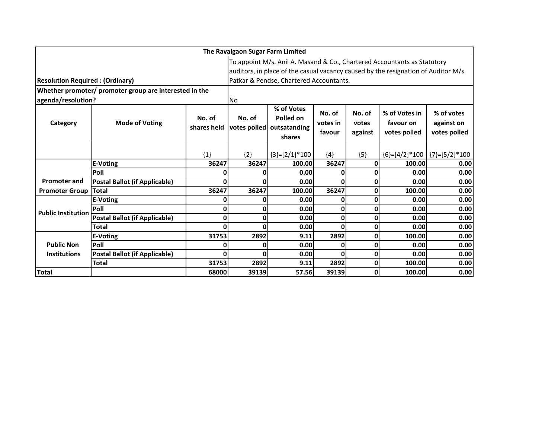|                                        |                                                        | The Ravalgaon Sugar Farm Limited |                                                                          |                                                                |                              |                            |                                                                                    |                                          |
|----------------------------------------|--------------------------------------------------------|----------------------------------|--------------------------------------------------------------------------|----------------------------------------------------------------|------------------------------|----------------------------|------------------------------------------------------------------------------------|------------------------------------------|
|                                        |                                                        |                                  | To appoint M/s. Anil A. Masand & Co., Chartered Accountants as Statutory |                                                                |                              |                            |                                                                                    |                                          |
|                                        |                                                        |                                  |                                                                          |                                                                |                              |                            | auditors, in place of the casual vacancy caused by the resignation of Auditor M/s. |                                          |
| <b>Resolution Required: (Ordinary)</b> |                                                        |                                  |                                                                          | Patkar & Pendse, Chartered Accountants.                        |                              |                            |                                                                                    |                                          |
|                                        | Whether promoter/ promoter group are interested in the |                                  |                                                                          |                                                                |                              |                            |                                                                                    |                                          |
| agenda/resolution?                     |                                                        |                                  | N <sub>o</sub>                                                           |                                                                |                              |                            |                                                                                    |                                          |
| Category                               | <b>Mode of Voting</b>                                  | No. of<br>shares held            | No. of                                                                   | % of Votes<br>Polled on<br>votes polled outsatanding<br>shares | No. of<br>votes in<br>favour | No. of<br>votes<br>against | % of Votes in<br>favour on<br>votes polled                                         | % of votes<br>against on<br>votes polled |
|                                        |                                                        | ${1}$                            | ${2}$                                                                    | ${3}=[2/1]*100$                                                | ${4}$                        | ${5}$                      |                                                                                    | ${6}=[4/2]*100$ ${7}=[5/2]*100$          |
|                                        | <b>E-Voting</b>                                        | 36247                            | 36247                                                                    | 100.00                                                         | 36247                        | O                          | 100.00                                                                             | 0.00                                     |
|                                        | Poll                                                   | 0                                | 0                                                                        | 0.00                                                           | 0                            | 0                          | 0.00                                                                               | 0.00                                     |
| <b>Promoter and</b>                    | <b>Postal Ballot (if Applicable)</b>                   | 0                                | 0                                                                        | 0.00                                                           | 0                            | 0                          | 0.00                                                                               | 0.00                                     |
| <b>Promoter Group</b>                  | <b>Total</b>                                           | 36247                            | 36247                                                                    | 100.00                                                         | 36247                        | 0                          | 100.00                                                                             | 0.00                                     |
|                                        | <b>E-Voting</b>                                        | 0                                | 0                                                                        | 0.00                                                           | 0                            | 0                          | 0.00                                                                               | 0.00                                     |
| <b>Public Institution</b>              | Poll                                                   | 0                                | 0                                                                        | 0.00                                                           | 0                            | 0                          | 0.00                                                                               | 0.00                                     |
|                                        | <b>Postal Ballot (if Applicable)</b>                   | 0                                | 0                                                                        | 0.00                                                           | 0                            | 0                          | 0.00                                                                               | 0.00                                     |
|                                        | <b>Total</b>                                           | U                                | ŋ                                                                        | 0.00                                                           | 0                            | 0                          | 0.00                                                                               | 0.00                                     |
|                                        | <b>E-Voting</b>                                        | 31753                            | 2892                                                                     | 9.11                                                           | 2892                         | $\Omega$                   | 100.00                                                                             | 0.00                                     |
| <b>Public Non</b>                      | Poll                                                   | 0                                | 0                                                                        | 0.00                                                           | 0                            | 0                          | 0.00                                                                               | 0.00                                     |
| <b>Institutions</b>                    | <b>Postal Ballot (if Applicable)</b>                   | 0                                | 0                                                                        | 0.00                                                           | 0                            | $\mathbf{0}$               | 0.00                                                                               | 0.00                                     |
|                                        | Total                                                  | 31753                            | 2892                                                                     | 9.11                                                           | 2892                         | 0                          | 100.00                                                                             | 0.00                                     |
| <b>Total</b>                           |                                                        | 68000                            | 39139                                                                    | 57.56                                                          | 39139                        | 0                          | 100.00                                                                             | 0.00                                     |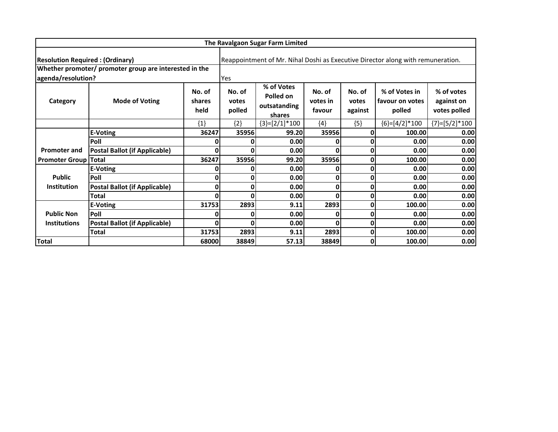|                                        | The Ravalgaon Sugar Farm Limited                       |                          |                                                                                 |                                                   |                              |                            |                                            |                                          |
|----------------------------------------|--------------------------------------------------------|--------------------------|---------------------------------------------------------------------------------|---------------------------------------------------|------------------------------|----------------------------|--------------------------------------------|------------------------------------------|
| <b>Resolution Required: (Ordinary)</b> |                                                        |                          | Reappointment of Mr. Nihal Doshi as Executive Director along with remuneration. |                                                   |                              |                            |                                            |                                          |
| agenda/resolution?                     | Whether promoter/ promoter group are interested in the |                          | Yes                                                                             |                                                   |                              |                            |                                            |                                          |
| Category                               | <b>Mode of Voting</b>                                  | No. of<br>shares<br>held | No. of<br>votes<br>polled                                                       | % of Votes<br>Polled on<br>outsatanding<br>shares | No. of<br>votes in<br>favour | No. of<br>votes<br>against | % of Votes in<br>favour on votes<br>polled | % of votes<br>against on<br>votes polled |
|                                        |                                                        | ${1}$                    | ${2}$                                                                           | ${3}=[2/1]*100$                                   | ${4}$                        | ${5}$                      | ${6}$ =[4/2]*100                           | ${7}$ =[5/2]*100                         |
|                                        | E-Voting                                               | 36247                    | 35956                                                                           | 99.20                                             | 35956                        | 0                          | 100.00                                     | 0.00                                     |
|                                        | Poll                                                   |                          |                                                                                 | 0.00                                              | ŋ                            |                            | 0.00                                       | 0.00                                     |
| <b>Promoter and</b>                    | <b>Postal Ballot (if Applicable)</b>                   | U                        |                                                                                 | 0.00                                              | ი                            | 0                          | 0.00                                       | 0.00                                     |
| <b>Promoter Group Total</b>            |                                                        | 36247                    | 35956                                                                           | 99.20                                             | 35956                        | 0                          | 100.00                                     | 0.00                                     |
|                                        | <b>E-Voting</b>                                        |                          |                                                                                 | 0.00                                              | 0                            | 0                          | 0.00                                       | 0.00                                     |
| <b>Public</b>                          | Poll                                                   | 0                        | 0                                                                               | 0.00                                              | $\mathbf{0}$                 | 0                          | 0.00                                       | 0.00                                     |
| <b>Institution</b>                     | <b>Postal Ballot (if Applicable)</b>                   | 0                        | ŋ                                                                               | 0.00                                              | 0                            | 0                          | 0.00                                       | 0.00                                     |
|                                        | <b>Total</b>                                           | ŋ                        |                                                                                 | 0.00                                              | ი                            | 0                          | 0.00                                       | 0.00                                     |
|                                        | <b>E-Voting</b>                                        | 31753                    | 2893                                                                            | 9.11                                              | 2893                         | 0                          | 100.00                                     | 0.00                                     |
| <b>Public Non</b>                      | Poll                                                   |                          |                                                                                 | 0.00                                              | 0                            | 0                          | 0.00                                       | 0.00                                     |
| <b>Institutions</b>                    | Postal Ballot (if Applicable)                          | 0                        | ŋ                                                                               | 0.00                                              | 0                            | 0                          | 0.00                                       | 0.00                                     |
|                                        | <b>Total</b>                                           | 31753                    | 2893                                                                            | 9.11                                              | 2893                         | 0                          | 100.00                                     | 0.00                                     |
| <b>Total</b>                           |                                                        | 68000                    | 38849                                                                           | 57.13                                             | 38849                        | 0                          | 100.00                                     | 0.00                                     |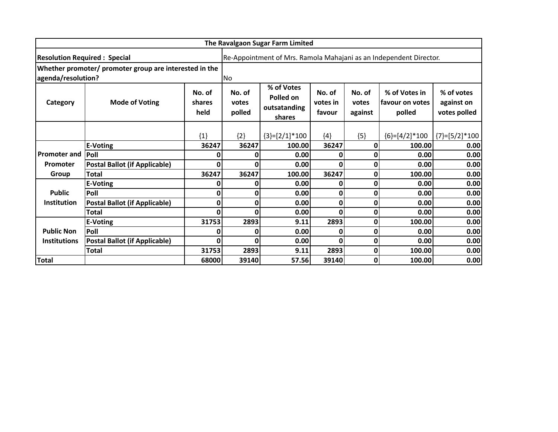|                     |                                                        |                          | The Ravalgaon Sugar Farm Limited                                   |                                                   |                              |                            |                                            |                                          |
|---------------------|--------------------------------------------------------|--------------------------|--------------------------------------------------------------------|---------------------------------------------------|------------------------------|----------------------------|--------------------------------------------|------------------------------------------|
|                     | <b>Resolution Required : Special</b>                   |                          | Re-Appointment of Mrs. Ramola Mahajani as an Independent Director. |                                                   |                              |                            |                                            |                                          |
| agenda/resolution?  | Whether promoter/ promoter group are interested in the |                          | <b>No</b>                                                          |                                                   |                              |                            |                                            |                                          |
| Category            | <b>Mode of Voting</b>                                  | No. of<br>shares<br>held | No. of<br>votes<br>polled                                          | % of Votes<br>Polled on<br>outsatanding<br>shares | No. of<br>votes in<br>favour | No. of<br>votes<br>against | % of Votes in<br>favour on votes<br>polled | % of votes<br>against on<br>votes polled |
|                     |                                                        | ${1}$                    | ${2}$                                                              | ${3}=[2/1]*100$                                   | ${4}$                        | ${5}$                      | ${6}$ =[4/2]*100                           | ${7}$ = [5/2] * 100                      |
|                     | <b>E-Voting</b>                                        | 36247                    | 36247                                                              | 100.00                                            | 36247                        |                            | 100.00                                     | 0.00                                     |
| <b>Promoter and</b> | Poll                                                   |                          |                                                                    | 0.00                                              | ŋ                            |                            | 0.00                                       | 0.00                                     |
| Promoter            | <b>Postal Ballot (if Applicable)</b>                   | 0                        | 0                                                                  | 0.00                                              | 0                            | 0                          | 0.00                                       | 0.00                                     |
| Group               | <b>Total</b>                                           | 36247                    | 36247                                                              | 100.00                                            | 36247                        | 0                          | 100.00                                     | 0.00                                     |
|                     | <b>E-Voting</b>                                        | C                        | 0                                                                  | 0.00                                              | 0                            | 0                          | 0.00                                       | 0.00                                     |
| <b>Public</b>       | Poll                                                   | 0                        | 0                                                                  | 0.00                                              | 0                            | 0                          | 0.00                                       | 0.00                                     |
| <b>Institution</b>  | <b>Postal Ballot (if Applicable)</b>                   | 0                        | 0                                                                  | 0.00                                              | 0                            | 0                          | 0.00                                       | 0.00                                     |
|                     | Total                                                  | C                        | O                                                                  | 0.00                                              | ი                            | 0                          | 0.00                                       | 0.00                                     |
|                     | <b>E-Voting</b>                                        | 31753                    | 2893                                                               | 9.11                                              | 2893                         | 0                          | 100.00                                     | 0.00                                     |
| <b>Public Non</b>   | Poll                                                   |                          | 0                                                                  | 0.00                                              | 0                            | 0                          | 0.00                                       | 0.00                                     |
| <b>Institutions</b> | <b>Postal Ballot (if Applicable)</b>                   | 0                        | 0                                                                  | 0.00                                              | 0                            | 0                          | 0.00                                       | 0.00                                     |
|                     | Total                                                  | 31753                    | 2893                                                               | 9.11                                              | 2893                         | 0                          | 100.00                                     | 0.00                                     |
| <b>Total</b>        |                                                        | 68000                    | 39140                                                              | 57.56                                             | 39140                        | 0                          | 100.00                                     | 0.00                                     |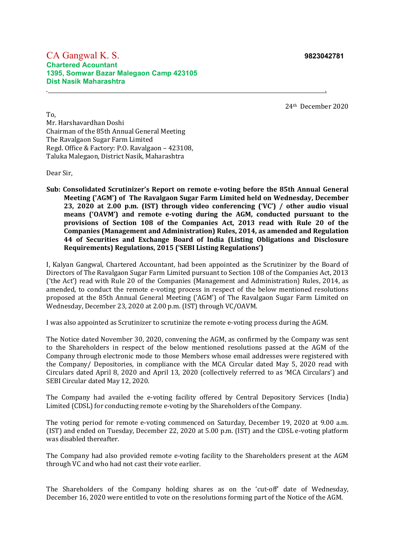#### CA Gangwal K. S. **9823042781 Chartered Acountant 1395, Somwar Bazar Malegaon Camp 423105 Dist Nasik Maharashtra**

24th December 2020

To, Mr. Harshavardhan Doshi Chairman of the 85th Annual General Meeting The Ravalgaon Sugar Farm Limited Regd. Office & Factory: P.O. Ravalgaon – 423108, Taluka Malegaon, District Nasik, Maharashtra

Dear Sir,

**Sub: Consolidated Scrutinizer's Report on remote e-voting before the 85th Annual General Meeting ('AGM') of The Ravalgaon Sugar Farm Limited held on Wednesday, December 23, 2020 at 2.00 p.m. (IST) through video conferencing ('VC') / other audio visual means ('OAVM') and remote e-voting during the AGM, conducted pursuant to the provisions of Section 108 of the Companies Act, 2013 read with Rule 20 of the Companies (Management and Administration) Rules, 2014, as amended and Regulation 44 of Securities and Exchange Board of India (Listing Obligations and Disclosure Requirements) Regulations, 2015 ('SEBI Listing Regulations')**

. .

I, Kalyan Gangwal, Chartered Accountant, had been appointed as the Scrutinizer by the Board of Directors of The Ravalgaon Sugar Farm Limited pursuant to Section 108 of the Companies Act, 2013 ('the Act') read with Rule 20 of the Companies (Management and Administration) Rules, 2014, as amended, to conduct the remote e-voting process in respect of the below mentioned resolutions proposed at the 85th Annual General Meeting ('AGM') of The Ravalgaon Sugar Farm Limited on Wednesday, December 23, 2020 at 2.00 p.m. (IST) through VC/OAVM.

I was also appointed as Scrutinizer to scrutinize the remote e-voting process during the AGM.

The Notice dated November 30, 2020, convening the AGM, as confirmed by the Company was sent to the Shareholders in respect of the below mentioned resolutions passed at the AGM of the Company through electronic mode to those Members whose email addresses were registered with the Company/ Depositories, in compliance with the MCA Circular dated May 5, 2020 read with Circulars dated April 8, 2020 and April 13, 2020 (collectively referred to as 'MCA Circulars') and SEBI Circular dated May 12, 2020.

The Company had availed the e-voting facility offered by Central Depository Services (India) Limited (CDSL) for conducting remote e-voting by the Shareholders of the Company.

The voting period for remote e-voting commenced on Saturday, December 19, 2020 at 9.00 a.m. (IST) and ended on Tuesday, December 22, 2020 at 5.00 p.m. (IST) and the CDSL e-voting platform was disabled thereafter.

The Company had also provided remote e-voting facility to the Shareholders present at the AGM through VC and who had not cast their vote earlier.

The Shareholders of the Company holding shares as on the 'cut-off' date of Wednesday, December 16, 2020 were entitled to vote on the resolutions forming part of the Notice of the AGM.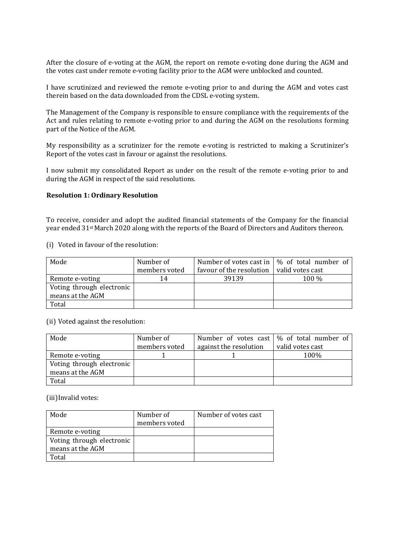After the closure of e-voting at the AGM, the report on remote e-voting done during the AGM and the votes cast under remote e-voting facility prior to the AGM were unblocked and counted.

I have scrutinized and reviewed the remote e-voting prior to and during the AGM and votes cast therein based on the data downloaded from the CDSL e-voting system.

The Management of the Company is responsible to ensure compliance with the requirements of the Act and rules relating to remote e-voting prior to and during the AGM on the resolutions forming part of the Notice of the AGM.

My responsibility as a scrutinizer for the remote e-voting is restricted to making a Scrutinizer's Report of the votes cast in favour or against the resolutions.

I now submit my consolidated Report as under on the result of the remote e-voting prior to and during the AGM in respect of the said resolutions.

#### **Resolution 1: Ordinary Resolution**

To receive, consider and adopt the audited financial statements of the Company for the financial year ended 31st March 2020 along with the reports of the Board of Directors and Auditors thereon.

(i) Voted in favour of the resolution:

| Mode                      | Number of     |                          | Number of votes cast in $\frac{1}{2}$ % of total number of |
|---------------------------|---------------|--------------------------|------------------------------------------------------------|
|                           | members voted | favour of the resolution | valid votes cast                                           |
| Remote e-voting           | 14            | 39139                    | 100 %                                                      |
| Voting through electronic |               |                          |                                                            |
| means at the AGM          |               |                          |                                                            |
| Total                     |               |                          |                                                            |

(ii) Voted against the resolution:

| Mode                      | Number of     |                        | Number of votes cast $\frac{1}{2}$ of total number of |
|---------------------------|---------------|------------------------|-------------------------------------------------------|
|                           | members voted | against the resolution | valid votes cast                                      |
| Remote e-voting           |               |                        | 100%                                                  |
| Voting through electronic |               |                        |                                                       |
| means at the AGM          |               |                        |                                                       |
| Total                     |               |                        |                                                       |

(iii)Invalid votes:

| Mode                      | Number of     | Number of votes cast |
|---------------------------|---------------|----------------------|
|                           | members voted |                      |
| Remote e-voting           |               |                      |
| Voting through electronic |               |                      |
| means at the AGM          |               |                      |
| Total                     |               |                      |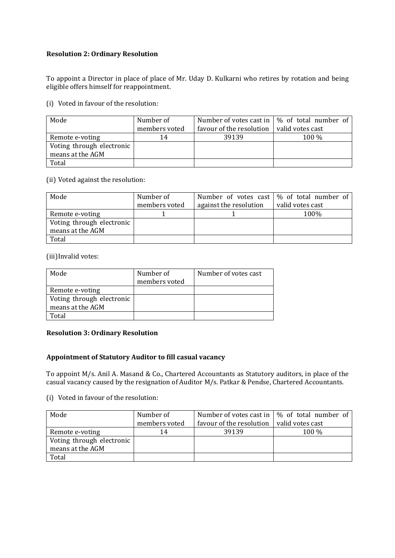#### **Resolution 2: Ordinary Resolution**

To appoint a Director in place of place of Mr. Uday D. Kulkarni who retires by rotation and being eligible offers himself for reappointment.

(i) Voted in favour of the resolution:

| Mode                      | Number of     |                          | Number of votes cast in $\frac{1}{2}$ of total number of |
|---------------------------|---------------|--------------------------|----------------------------------------------------------|
|                           | members voted | favour of the resolution | valid votes cast                                         |
| Remote e-voting           | 14            | 39139                    | 100 %                                                    |
| Voting through electronic |               |                          |                                                          |
| means at the AGM          |               |                          |                                                          |
| Total                     |               |                          |                                                          |

(ii) Voted against the resolution:

| Mode                      | Number of     |                        | Number of votes cast $\frac{1}{2}$ of total number of |
|---------------------------|---------------|------------------------|-------------------------------------------------------|
|                           | members voted | against the resolution | valid votes cast                                      |
| Remote e-voting           |               |                        | 100%                                                  |
| Voting through electronic |               |                        |                                                       |
| means at the AGM          |               |                        |                                                       |
| Total                     |               |                        |                                                       |

(iii)Invalid votes:

| Mode                      | Number of<br>members voted | Number of votes cast |
|---------------------------|----------------------------|----------------------|
| Remote e-voting           |                            |                      |
| Voting through electronic |                            |                      |
| means at the AGM          |                            |                      |
| Total                     |                            |                      |

#### **Resolution 3: Ordinary Resolution**

#### **Appointment of Statutory Auditor to fill casual vacancy**

To appoint M/s. Anil A. Masand & Co., Chartered Accountants as Statutory auditors, in place of the casual vacancy caused by the resignation of Auditor M/s. Patkar & Pendse, Chartered Accountants.

(i) Voted in favour of the resolution:

| Mode                      | Number of     |                          | Number of votes cast in $\frac{1}{2}$ % of total number of |
|---------------------------|---------------|--------------------------|------------------------------------------------------------|
|                           | members voted | favour of the resolution | valid votes cast                                           |
| Remote e-voting           | 14            | 39139                    | 100 %                                                      |
| Voting through electronic |               |                          |                                                            |
| means at the AGM          |               |                          |                                                            |
| Total                     |               |                          |                                                            |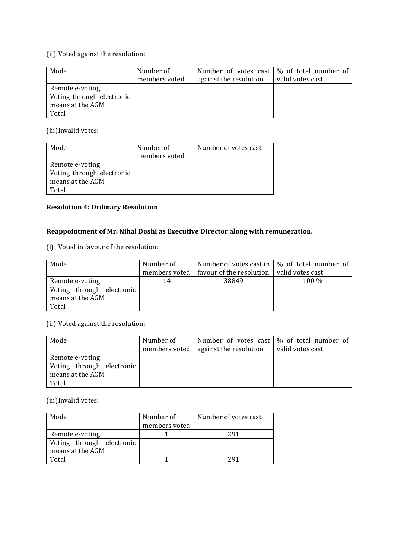#### (ii) Voted against the resolution:

| Mode                                          | Number of<br>members voted | against the resolution | Number of votes cast $\frac{1}{2}$ of total number of<br>valid votes cast |
|-----------------------------------------------|----------------------------|------------------------|---------------------------------------------------------------------------|
| Remote e-voting                               |                            |                        |                                                                           |
| Voting through electronic<br>means at the AGM |                            |                        |                                                                           |
|                                               |                            |                        |                                                                           |
| Total                                         |                            |                        |                                                                           |

(iii)Invalid votes:

| Mode                      | Number of<br>members voted | Number of votes cast |
|---------------------------|----------------------------|----------------------|
| Remote e-voting           |                            |                      |
| Voting through electronic |                            |                      |
| means at the AGM          |                            |                      |
| Total                     |                            |                      |

### **Resolution 4: Ordinary Resolution**

# **Reappointment of Mr. Nihal Doshi as Executive Director along with remuneration.**

(i) Voted in favour of the resolution:

| Mode                      | Number of     |                          | Number of votes cast in $\frac{1}{2}$ % of total number of |
|---------------------------|---------------|--------------------------|------------------------------------------------------------|
|                           | members voted | favour of the resolution | valid votes cast                                           |
| Remote e-voting           | 14            | 38849                    | 100 %                                                      |
| Voting through electronic |               |                          |                                                            |
| means at the AGM          |               |                          |                                                            |
| Total                     |               |                          |                                                            |

(ii) Voted against the resolution:

| Mode                      | Number of |                                          | Number of votes cast $\frac{1}{2}$ of total number of |
|---------------------------|-----------|------------------------------------------|-------------------------------------------------------|
|                           |           | members voted $ $ against the resolution | valid votes cast                                      |
| Remote e-voting           |           |                                          |                                                       |
| Voting through electronic |           |                                          |                                                       |
| means at the AGM          |           |                                          |                                                       |
| Total                     |           |                                          |                                                       |

(iii)Invalid votes:

| Mode                      | Number of     | Number of votes cast |
|---------------------------|---------------|----------------------|
|                           | members voted |                      |
| Remote e-voting           |               | 291                  |
| Voting through electronic |               |                      |
| means at the AGM          |               |                      |
| 'otal                     |               |                      |